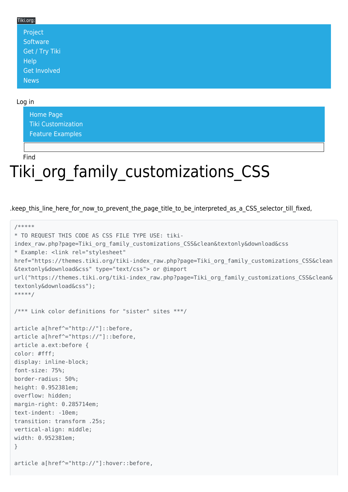## Tiki.org: [Project](https://tiki.org/Project Introduction) **[Software](https://tiki.org/Software Overview and Model)** [Get / Try Tiki](https://tiki.org/Get Tiki - Try Tiki) **[Help](https://tiki.org/Get Help)** [Get Involved](https://tiki.org/Get Involved)

## Log in

[News](https://tiki.org/News)

[Home Page](https://themes.tiki.org/Themes) [Tiki Customization](https://themes.tiki.org/Tiki-Customization) [Feature Examples](#page--1-0)

Find

## Tiki org family customizations CSS

.keep this line here for now to prevent the page title to be interpreted as a CSS selector till fixed,

```
/*****
* TO REQUEST THIS CODE AS CSS FILE TYPE USE: tiki-
index_raw.php?page=Tiki_org_family_customizations_CSS&clean&textonly&download&css
* Example: <link rel="stylesheet"
href="https://themes.tiki.org/tiki-index raw.php?page=Tiki org family customizations CSS&clean
&textonly&download&css" type="text/css"> or @import
url("https://themes.tiki.org/tiki-index raw.php?page=Tiki org family customizations CSS&clean&
textonly&download&css");
*****/
/*** Link color definitions for "sister" sites ***/
article a[href^="http://"]::before,
article a[href^="https://"]::before,
article a.ext:before {
color: #fff;
display: inline-block;
font-size: 75%;
border-radius: 50%;
height: 0.952381em;
overflow: hidden;
margin-right: 0.285714em;
text-indent: -10em;
transition: transform .25s;
vertical-align: middle;
width: 0.952381em;
}
article a[href^="http://"]:hover::before,
```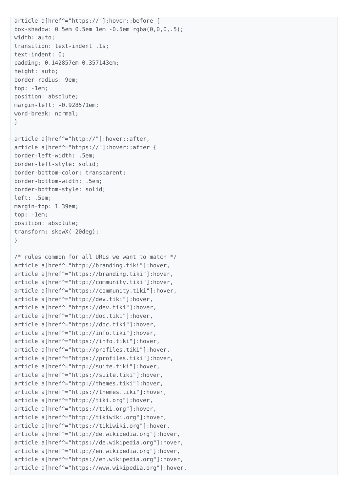```
article a[href^="https://"]:hover::before {
box-shadow: 0.5em 0.5em 1em -0.5em rgba(0,0,0,.5);
width: auto;
transition: text-indent .1s;
text-indent: 0;
padding: 0.142857em 0.357143em;
height: auto;
border-radius: 9em;
top: -1em;
position: absolute;
margin-left: -0.928571em;
word-break: normal;
}
article a[href^="http://"]:hover::after,
article a[href^="https://"]:hover::after {
border-left-width: .5em;
border-left-style: solid;
border-bottom-color: transparent;
border-bottom-width: .5em;
border-bottom-style: solid;
left: .5em;
margin-top: 1.39em;
top: -1em;
position: absolute;
transform: skewX(-20deg);
}
\frac{1}{2} rules common for all URLs we want to match \frac{1}{2}article a[href^="http://branding.tiki"]:hover,
article a[href^="https://branding.tiki"]:hover,
article a[href^="http://community.tiki"]:hover,
article a[href^="https://community.tiki"]:hover,
article a[href^="http://dev.tiki"]:hover,
article a[href^="https://dev.tiki"]:hover,
article a[href^="http://doc.tiki"]:hover,
article a[href^="https://doc.tiki"]:hover,
article a[href^="http://info.tiki"]:hover,
article a[href^="https://info.tiki"]:hover,
article a[href^="http://profiles.tiki"]:hover,
article a[href^="https://profiles.tiki"]:hover,
article a[href^="http://suite.tiki"]:hover,
article a[href^="https://suite.tiki"]:hover,
article a[href^="http://themes.tiki"]:hover,
article a[href^="https://themes.tiki"]:hover,
article a[href^="http://tiki.org"]:hover,
article a[href^="https://tiki.org"]:hover,
article a[href^="http://tikiwiki.org"]:hover,
article a[href^="https://tikiwiki.org"]:hover,
article a[href^="http://de.wikipedia.org"]:hover,
article a[href^="https://de.wikipedia.org"]:hover,
article a[href^="http://en.wikipedia.org"]:hover,
article a[href^="https://en.wikipedia.org"]:hover,
article a[href^="https://www.wikipedia.org"]:hover,
```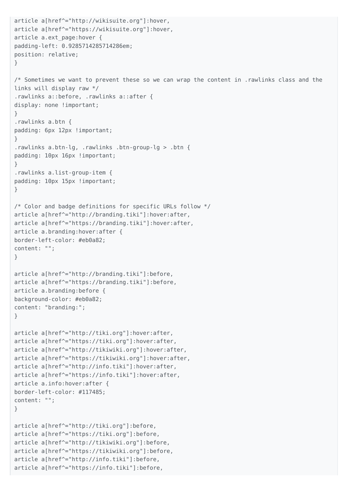```
article a[href^="http://wikisuite.org"]:hover,
article a[href^="https://wikisuite.org"]:hover,
article a.ext_page:hover {
padding-left: 0.9285714285714286em;
position: relative;
}
/* Sometimes we want to prevent these so we can wrap the content in .rawlinks class and the
links will display raw */
.rawlinks a::before, .rawlinks a::after {
display: none !important;
}
.rawlinks a.btn {
padding: 6px 12px !important;
}
.rawlinks a.btn-lg, .rawlinks .btn-group-lg > .btn {
padding: 10px 16px !important;
}
.rawlinks a.list-group-item {
padding: 10px 15px !important;
}
/* Color and badge definitions for specific URLs follow */
article a[href^="http://branding.tiki"]:hover:after,
article a[href^="https://branding.tiki"]:hover:after,
article a.branding:hover:after {
border-left-color: #eb0a82;
content: "";
}
article a[href^="http://branding.tiki"]:before,
article a[href^="https://branding.tiki"]:before,
article a.branding:before {
background-color: #eb0a82;
content: "branding:";
}
article a[href^="http://tiki.org"]:hover:after,
article a[href^="https://tiki.org"]:hover:after,
article a[href^="http://tikiwiki.org"]:hover:after,
article a[href^="https://tikiwiki.org"]:hover:after,
article a[href^="http://info.tiki"]:hover:after,
article a[href^="https://info.tiki"]:hover:after,
article a.info:hover:after {
border-left-color: #117485;
content: "";
}
article a[href^="http://tiki.org"]:before,
article a[href^="https://tiki.org"]:before,
article a[href^="http://tikiwiki.org"]:before,
article a[href^="https://tikiwiki.org"]:before,
article a[href^="http://info.tiki"]:before,
article a[href^="https://info.tiki"]:before,
```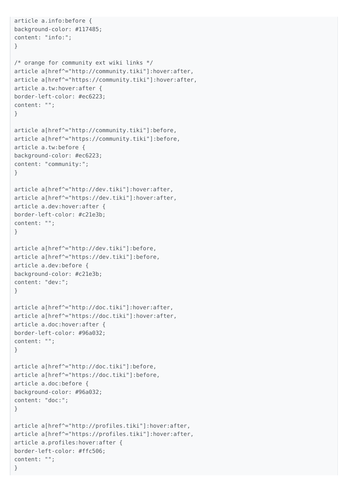```
article a.info:before {
background-color: #117485;
content: "info:";
}
/* orange for community ext wiki links */
article a[href^="http://community.tiki"]:hover:after,
article a[href^="https://community.tiki"]:hover:after,
article a.tw:hover:after {
border-left-color: #ec6223;
content: "";
}
article a[href^="http://community.tiki"]:before,
article a[href^="https://community.tiki"]:before,
article a.tw:before {
background-color: #ec6223;
content: "community:";
}
article a[href^="http://dev.tiki"]:hover:after,
article a[href^="https://dev.tiki"]:hover:after,
article a.dev:hover:after {
border-left-color: #c21e3b;
content: "";
}
article a[href^="http://dev.tiki"]:before,
article a[href^="https://dev.tiki"]:before,
article a.dev:before {
background-color: #c21e3b;
content: "dev:";
}
article a[href^="http://doc.tiki"]:hover:after,
article a[href^="https://doc.tiki"]:hover:after,
article a.doc:hover:after {
border-left-color: #96a032;
content: "";
}
article a[href^="http://doc.tiki"]:before,
article a[href^="https://doc.tiki"]:before,
article a.doc:before {
background-color: #96a032;
content: "doc:";
}
article a[href^="http://profiles.tiki"]:hover:after,
article a[href^="https://profiles.tiki"]:hover:after,
article a.profiles:hover:after {
border-left-color: #ffc506;
content: "";
}
```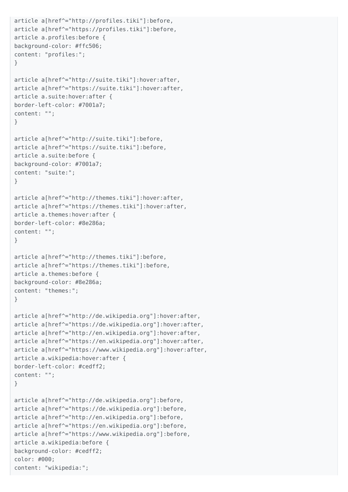```
article a[href^="http://profiles.tiki"]:before,
article a[href^="https://profiles.tiki"]:before,
article a.profiles:before {
background-color: #ffc506;
content: "profiles:";
}
article a[href^="http://suite.tiki"]:hover:after,
article a[href^="https://suite.tiki"]:hover:after,
article a.suite:hover:after {
border-left-color: #7001a7;
content: "";
}
article a[href^="http://suite.tiki"]:before,
article a[href^="https://suite.tiki"]:before,
article a.suite:before {
background-color: #7001a7;
content: "suite:";
}
article a[href^="http://themes.tiki"]:hover:after,
article a[href^="https://themes.tiki"]:hover:after,
article a.themes:hover:after {
border-left-color: #8e286a;
content: "";
}
article a[href^="http://themes.tiki"]:before,
article a[href^="https://themes.tiki"]:before,
article a.themes:before {
background-color: #8e286a;
content: "themes:";
}
article a[href^="http://de.wikipedia.org"]:hover:after,
article a[href^="https://de.wikipedia.org"]:hover:after,
article a[href^="http://en.wikipedia.org"]:hover:after,
article a[href^="https://en.wikipedia.org"]:hover:after,
article a[href^="https://www.wikipedia.org"]:hover:after,
article a.wikipedia:hover:after {
border-left-color: #cedff2;
content: "";
}
article a[href^="http://de.wikipedia.org"]:before,
article a[href^="https://de.wikipedia.org"]:before,
article a[href^="http://en.wikipedia.org"]:before,
article a[href^="https://en.wikipedia.org"]:before,
article a[href^="https://www.wikipedia.org"]:before,
article a.wikipedia:before {
background-color: #cedff2;
color: #000;
content: "wikipedia:";
```